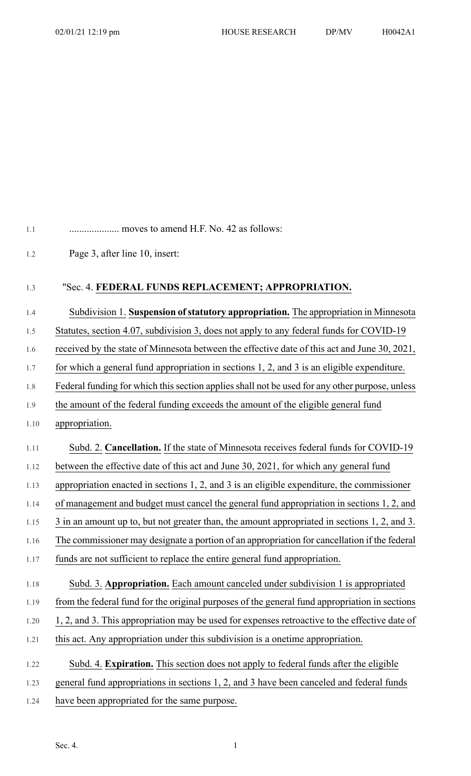## 1.1 .................... moves to amend H.F. No. 42 as follows:

1.2 Page 3, after line 10, insert:

## 1.3 "Sec. 4. **FEDERAL FUNDS REPLACEMENT; APPROPRIATION.**

## 1.4 Subdivision 1. **Suspension ofstatutory appropriation.** The appropriation in Minnesota

1.5 Statutes, section 4.07, subdivision 3, does not apply to any federal funds for COVID-19

1.6 received by the state of Minnesota between the effective date of this act and June 30, 2021,

1.7 for which a general fund appropriation in sections 1, 2, and 3 is an eligible expenditure.

1.8 Federal funding for which this section applies shall not be used for any other purpose, unless

1.9 the amount of the federal funding exceeds the amount of the eligible general fund

- 1.10 appropriation.
- 1.11 Subd. 2. **Cancellation.** If the state of Minnesota receives federal funds for COVID-19

1.12 between the effective date of this act and June 30, 2021, for which any general fund

1.13 appropriation enacted in sections 1, 2, and 3 is an eligible expenditure, the commissioner

1.14 of management and budget must cancel the general fund appropriation in sections 1, 2, and

1.15 3 in an amount up to, but not greater than, the amount appropriated in sections 1, 2, and 3.

1.16 The commissioner may designate a portion of an appropriation for cancellation if the federal

```
1.17 funds are not sufficient to replace the entire general fund appropriation.
```
1.18 Subd. 3. **Appropriation.** Each amount canceled under subdivision 1 is appropriated

1.19 from the federal fund for the original purposes of the general fund appropriation in sections

- 1.20 1, 2, and 3. This appropriation may be used for expenses retroactive to the effective date of
- 1.21 this act. Any appropriation under this subdivision is a onetime appropriation.
- 1.22 Subd. 4. **Expiration.** This section does not apply to federal funds after the eligible
- 1.23 general fund appropriations in sections 1, 2, and 3 have been canceled and federal funds
- 1.24 have been appropriated for the same purpose.